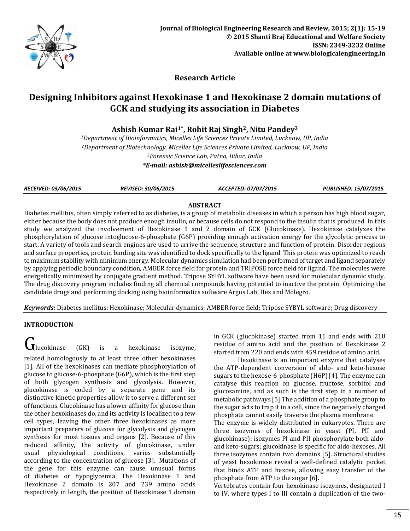

**Research Article**

# **Designing Inhibitors against Hexokinase 1 and Hexokinase 2 domain mutations of GCK and studying its association in Diabetes**

**Ashish Kumar Rai1\*, Rohit Raj Singh2, Nitu Pandey<sup>3</sup>**

*Department of Bioinformatics, Micelles Life Sciences Private Limited, Lucknow, UP, India Department of Biotechnology, Micelles Life Sciences Private Limited, Lucknow, UP, India Forensic Science Lab, Patna, Bihar, India \*E-mail: [ashish@micelleslifesciences.com](mailto:ashish@micelleslifesciences.com)*

*RECEIVED: 03/06/2015 REVISED: 30/06/2015 ACCEPTED: 07/07/2015 PUBLISHED: 15/07/2015*

# **ABSTRACT**

Diabetes mellitus, often simply referred to as diabetes, is a group of metabolic diseases in which a person has high blood sugar, either because the body does not produce enough insulin, or because cells do not respond to the insulin that is produced. In this study we analyzed the involvement of Hexokinase 1 and 2 domain of GCK (Glucokinase). Hexokinase catalyzes the phosphorylation of glucose intoglucose-6-phosphate (G6P) providing enough activation energy for the glycolytic process to start. A variety of tools and search engines are used to arrive the sequence, structure and function of protein. Disorder regions and surface properties, protein binding site was identified to dock specifically to the ligand. This protein was optimized to reach to maximum stability with minimum energy. Molecular dynamics simulation had been performed of target and ligand separately by applying periodic boundary condition, AMBER force field for protein and TRIPOSE force field for ligand. The molecules were energetically minimized by conjugate gradient method. Tripose SYBYL software have been used for molecular dynamic study. The drug discovery program includes finding all chemical compounds having potential to inactive the protein. Optimizing the candidate drugs and performing docking using bioinformatics software Argus Lab, Hex and Molegro.

*Keywords:* Diabetes mellitus; Hexokinase; Molecular dynamics; AMBER force field; Tripose SYBYL software; Drug discovery

# **INTRODUCTION**

 $\bigcup$ lucokinase (GK) is a [hexokinase](http://en.wikipedia.org/wiki/Hexokinase) isozyme, related [homologously](http://en.wikipedia.org/wiki/Homology_(biology)) to at least three other hexokinases [1]. All of the hexokinases can mediate phosphorylation of glucose to glucose-6-phosphate (G6P), which is the first step of both [glycogen](http://en.wikipedia.org/wiki/Glycogen) synthesis and [glycolysis.](http://en.wikipedia.org/wiki/Glycolysis) However, glucokinase is [coded](http://en.wikipedia.org/wiki/Genetic_code) by a separate [gene](http://en.wikipedia.org/wiki/Gene) and its distinctive [kinetic](http://en.wikipedia.org/wiki/Enzyme_kinetics) properties allow it to serve a different set of functions. Glucokinase has a lower affinity for glucose than the other hexokinases do, and its activity is localized to a few cell types, leaving the other three hexokinases as more important preparers of glucose for glycolysis and glycogen synthesis for most tissues and organs [2]. Because of this reduced affinity, the activity of glucokinase, under usual [physiological conditions,](http://en.wikipedia.org/wiki/Physiological_condition) varies substantially according to the concentration of glucose [3]. [Mutations](http://en.wikipedia.org/wiki/Mutation) of the [gene](http://en.wikipedia.org/wiki/Gene) for this enzyme can cause unusual forms of [diabetes](http://en.wikipedia.org/wiki/Diabetes_mellitus) or [hypoglycemia.](http://en.wikipedia.org/wiki/Hypoglycemia) The Hexokinase 1 and Hexokinase 2 domain is 207 and 239 amino acids respectively in length, the position of Hexokinase 1 domain

in GCK (glucokinase) started from 11 and ends with 218 residue of amino acid and the position of Hexokinase 2 started from 220 and ends with 459 residue of amino acid.

Hexokinase is an important enzyme that catalyses the ATP-dependent conversion of aldo- and keto-hexose sugars to the hexose-6-phosphate (H6P) [4]. The enzyme can catalyse this reaction on glucose, fructose, sorbitol and glucosamine, and as such is the first step in a number of metabolic pathways [5].The addition of a phosphate group to the sugar acts to trap it in a cell, since the negatively charged phosphate cannot easily traverse the plasma membrane.

The enzyme is widely distributed in eukaryotes. There are three isozymes of hexokinase in yeast (PI, PII and glucokinase): isozymes PI and PII phosphorylate both aldoand keto-sugars; glucokinase is specific for aldo-hexoses. All three isozymes contain two domains [5]. Structural studies of yeast hexokinase reveal a well-defined catalytic pocket that binds ATP and hexose, allowing easy transfer of the phosphate from ATP to the sugar [6].

Vertebrates contain four hexokinase isozymes, designated I to IV, where types I to III contain a duplication of the two-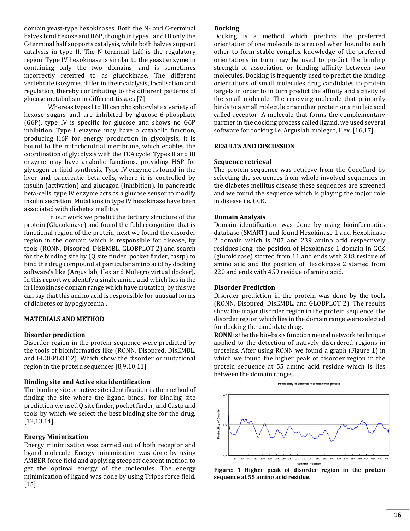domain yeast-type hexokinases. Both the N- and C-terminal halves bind hexose and H6P, though in types I and III only the C-terminal half supports catalysis, while both halves support catalysis in type II. The N-terminal half is the regulatory region. Type IV hexokinase is similar to the yeast enzyme in containing only the two domains, and is sometimes incorrectly referred to as glucokinase. The different vertebrate isozymes differ in their catalysis, localisation and regulation, thereby contributing to the different patterns of glucose metabolism in different tissues [7].

Whereas types I to III can phosphorylate a variety of hexose sugars and are inhibited by glucose-6-phosphate (G6P), type IV is specific for glucose and shows no G6P inhibition. Type I enzyme may have a catabolic function, producing H6P for energy production in glycolysis; it is bound to the mitochondrial membrane, which enables the coordination of glycolysis with the TCA cycle. Types II and III enzyme may have anabolic functions, providing H6P for glycogen or lipid synthesis. Type IV enzyme is found in the liver and pancreatic beta-cells, where it is controlled by insulin (activation) and glucagon (inhibition). In pancreatic beta-cells, type IV enzyme acts as a glucose sensor to modify insulin secretion. Mutations in type IV hexokinase have been associated with diabetes mellitus.

In our work we predict the tertiary structure of the protein (Glucokinase) and found the fold recognition that is functional region of the protein, next we found the disorder region in the domain which is responsible for disease, by tools (RONN, Disopred, DisEMBL, GLOBPLOT 2) and search for the binding site by (Q site finder, pocket finder, castp) to bind the drug compound at particular amino acid by docking software's like (Argus lab, Hex and Molegro virtual docker). In this report we identify a single amino acid which lies in the in Hexokinase domain range which have mutation, by this we can say that this amino acid is responsible for unusual forms of [diabetes](http://en.wikipedia.org/wiki/Diabetes_mellitus) o[r hypoglycemia..](http://en.wikipedia.org/wiki/Hypoglycemia)

# **MATERIALS AND METHOD**

## **Disorder prediction**

Disorder region in the protein sequence were predicted by the tools of bioinformatics like (RONN, Disopred, DisEMBL, and GLOBPLOT 2). Which show the disorder or mutational region in the protein sequences [8,9,10,11].

## **Binding site and Active site identification**

The binding site or active site identification is the method of finding the site where the ligand binds, for binding site prediction we used Q site finder, pocket finder, and Castp and tools by which we select the best binding site for the drug. [12,13,14]

## **Energy Minimization**

Energy minimization was carried out of both receptor and ligand molecule. Energy minimization was done by using AMBER force field and applying steepest descent method to get the optimal energy of the molecules. The energy minimization of ligand was done by using Tripos force field.  $[15]$ 

#### **Docking**

Docking is a method which predicts the preferred orientation of one molecule to a record when bound to each other to form stable complex knowledge of the preferred orientations in turn may be used to predict the binding strength of association or binding affinity between two molecules. Docking is frequently used to predict the binding orientations of small molecules drug candidates to protein targets in order to in turn predict the affinity and activity of the small molecule. The receiving molecule that primarily binds to a small molecule or another protein or a nucleic acid called receptor. A molecule that forms the complementary partner in the docking process called ligand, we used several software for docking i.e. Arguslab, molegro, Hex. [16,17]

## **RESULTS AND DISCUSSION**

## **Sequence retrieval**

The protein sequence was retrieve from the GeneCard by selecting the sequences from whole involved sequences in the diabetes mellitus disease these sequences are screened and we found the sequence which is playing the major role in disease i.e. GCK.

#### **Domain Analysis**

Domain identification was done by using bioinformatics database (SMART) and found Hexokinase 1 and Hexokinase 2 domain which is 207 and 239 amino acid respectively residues long, the position of Hexokinase 1 domain in GCK (glucokinase) started from 11 and ends with 218 residue of amino acid and the position of Hexokinase 2 started from 220 and ends with 459 residue of amino acid.

# **Disorder Prediction**

Disorder prediction in the protein was done by the tools (RONN, Disopred, DisEMBL, and GLOBPLOT 2). The results show the major disorder region in the protein sequence, the disorder region which lies in the domain range were selected for docking the candidate drug.

**RONN** is the the bio-basis function neural network technique applied to the detection of natively disordered regions in proteins. After using RONN we found a graph (Figure 1) in which we found the higher peak of disorder region in the protein sequence at 55 amino acid residue which is lies between the domain ranges.



**Figure: 1 Higher peak of disorder region in the protein sequence at 55 amino acid residue.**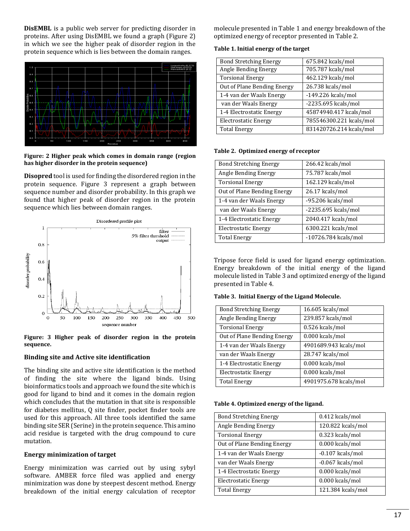**DisEMBL** is a public web server for predicting disorder in proteins. After using DisEMBL we found a graph (Figure 2) in which we see the higher peak of disorder region in the protein sequence which is lies between the domain ranges.



**Figure: 2 Higher peak which comes in domain range (region has higher disorder in the protein sequence)**

**Disopred** tool is used for finding the disordered region in the protein sequence. Figure 3 represent a graph between sequence number and disorder probability. In this graph we found that higher peak of disorder region in the protein sequence which lies between domain ranges.



**Figure: 3 Higher peak of disorder region in the protein sequence.**

## **Binding site and Active site identification**

The binding site and active site identification is the method of finding the site where the ligand binds. Using bioinformatics tools and approach we found the site which is good for ligand to bind and it comes in the domain region which concludes that the mutation in that site is responsible for diabetes mellitus, Q site finder, pocket finder tools are used for this approach. All three tools identified the same binding site SER (Serine) in the protein sequence. This amino acid residue is targeted with the drug compound to cure mutation.

## **Energy minimization of target**

Energy minimization was carried out by using sybyl software. AMBER force filed was applied and energy minimization was done by steepest descent method. Energy breakdown of the initial energy calculation of receptor

molecule presented in Table 1 and energy breakdown of the optimized energy of receptor presented in Table 2.

#### **Table 1. Initial energy of the target**

| <b>Bond Stretching Energy</b> | 675.842 kcals/mol       |
|-------------------------------|-------------------------|
| Angle Bending Energy          | 705.787 kcals/mol       |
| <b>Torsional Energy</b>       | 462.129 kcals/mol       |
| Out of Plane Bending Energy   | 26.738 kcals/mol        |
| 1-4 van der Waals Energy      | $-149.226$ kcals/mol    |
| van der Waals Energy          | -2235.695 kcals/mol     |
| 1-4 Electrostatic Energy      | 45874940.417 kcals/mol  |
| <b>Electrostatic Energy</b>   | 785546300.221 kcals/mol |
| <b>Total Energy</b>           | 831420726.214 kcals/mol |

#### **Table 2. Optimized energy of receptor**

| <b>Bond Stretching Energy</b> | 266.42 kcals/mol      |
|-------------------------------|-----------------------|
| Angle Bending Energy          | 75.787 kcals/mol      |
| <b>Torsional Energy</b>       | 162.129 kcals/mol     |
| Out of Plane Bending Energy   | 26.17 kcals/mol       |
| 1-4 van der Waals Energy      | $-95.206$ kcals/mol   |
| van der Waals Energy          | $-2235.695$ kcals/mol |
| 1-4 Electrostatic Energy      | 2040.417 kcals/mol    |
| Electrostatic Energy          | 6300.221 kcals/mol    |
| <b>Total Energy</b>           | -10726.784 kcals/mol  |

Tripose force field is used for ligand energy optimization. Energy breakdown of the initial energy of the ligand molecule listed in Table 3 and optimized energy of the ligand presented in Table 4.

## **Table 3. Initial Energy of the Ligand Molecule.**

| <b>Bond Stretching Energy</b> | $16.605$ kcals/mol    |
|-------------------------------|-----------------------|
| Angle Bending Energy          | 239.857 kcals/mol     |
| <b>Torsional Energy</b>       | 0.526 kcals/mol       |
| Out of Plane Bending Energy   | 0.000 kcals/mol       |
| 1-4 van der Waals Energy      | 4901689.943 kcals/mol |
| van der Waals Energy          | 28.747 kcals/mol      |
| 1-4 Electrostatic Energy      | 0.000 kcals/mol       |
| Electrostatic Energy          | 0.000 kcals/mol       |
| <b>Total Energy</b>           | 4901975.678 kcals/mol |
|                               |                       |

#### **Table 4. Optimized energy of the ligand.**

| <b>Bond Stretching Energy</b> | 0.412 kcals/mol    |
|-------------------------------|--------------------|
| Angle Bending Energy          | 120.822 kcals/mol  |
| <b>Torsional Energy</b>       | 0.323 kcals/mol    |
| Out of Plane Bending Energy   | 0.000 kcals/mol    |
| 1-4 van der Waals Energy      | $-0.107$ kcals/mol |
| van der Waals Energy          | $-0.067$ kcals/mol |
| 1-4 Electrostatic Energy      | 0.000 kcals/mol    |
| Electrostatic Energy          | 0.000 kcals/mol    |
| <b>Total Energy</b>           | 121.384 kcals/mol  |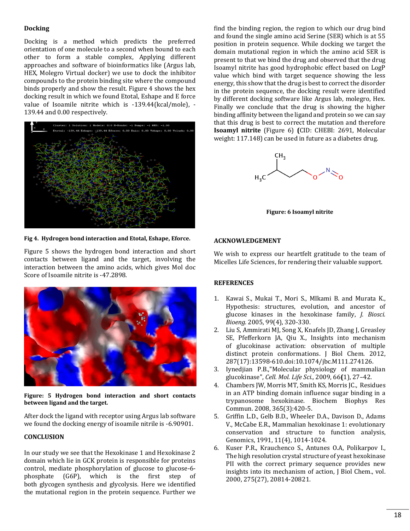# **Docking**

Docking is a method which predicts the preferred orientation of one molecule to a second when bound to each other to form a stable complex, Applying different approaches and software of bioinformatics like (Argus lab, HEX, Molegro Virtual docker) we use to dock the inhibitor compounds to the protein binding site where the compound binds properly and show the result. Figure 4 shows the hex docking result in which we found Etotal, Eshape and E force value of Isoamile nitrite which is -139.44(kcal/mole), - 139.44 and 0.00 respectively.



**Fig 4. Hydrogen bond interaction and Etotal, Eshape, Eforce.**

Figure 5 shows the hydrogen bond interaction and short contacts between ligand and the target, involving the interaction between the amino acids, which gives Mol doc Score of Isoamile nitrite is -47.2898.



**Figure: 5 Hydrogen bond interaction and short contacts between ligand and the target.**

After dock the ligand with receptor using Argus lab software we found the docking energy of isoamile nitrile is -6.90901.

## **CONCLUSION**

In our study we see that the Hexokinase 1 and Hexokinase 2 domain which lie in GCK protein is responsible for proteins control, mediate phosphorylation of glucose to glucose-6 phosphate (G6P), which is the first step of both [glycogen](http://en.wikipedia.org/wiki/Glycogen) synthesis and [glycolysis.](http://en.wikipedia.org/wiki/Glycolysis) Here we identified the mutational region in the protein sequence. Further we

find the binding region, the region to which our drug bind and found the single amino acid Serine (SER) which is at 55 position in protein sequence. While docking we target the domain mutational region in which the amino acid SER is present to that we bind the drug and observed that the drug Isoamyl nitrite has good hydrophobic effect based on LogP value which bind with target sequence showing the less energy, this show that the drug is best to correct the disorder in the protein sequence, the docking result were identified by different docking software like Argus lab, molegro, Hex. Finally we conclude that the drug is showing the higher binding affinity between the ligand and protein so we can say that this drug is best to correct the mutation and therefore **Isoamyl nitrite** (Figure 6) **(**CID: CHEBI: 2691, Molecular weight: 117.148) can be used in future as a diabetes drug.



**Figure: 6 Isoamyl nitrite**

#### **ACKNOWLEDGEMENT**

We wish to express our heartfelt gratitude to the team of Micelles Life Sciences, for rendering their valuable support.

#### **REFERENCES**

- 1. Kawai S., Mukai T., Mori S., MIkami B. and Murata K., Hypothesis: structures, evolution, and ancestor of glucose kinases in the hexokinase family, *J. Biosci. Bioeng.* 2005, 99(4), 320-330.
- 2. Liu S, Ammirati MJ, Song X, Knafels JD, Zhang J, Greasley SE, Pfefferkorn JA, Qiu X., [Insights into mechanism](http://www.ncbi.nlm.nih.gov/pubmed/22298776)  of glucokinase [activation: observation of multiple](http://www.ncbi.nlm.nih.gov/pubmed/22298776)  [distinct protein conformations.](http://www.ncbi.nlm.nih.gov/pubmed/22298776) J Biol Chem. 2012, 287(17):13598-610.doi:10.1074/jbc.M111.274126.
- 3. Iynedjian P.B[.,"Molecular physiology of mammalian](http://www.ncbi.nlm.nih.gov/pmc/articles/PMC2780631)  [glucokinase",](http://www.ncbi.nlm.nih.gov/pmc/articles/PMC2780631) *Cell. Mol. Life Sci.*, 2009, 66**(**1), 27–42.
- 4. [Chambers JW,](http://www.ncbi.nlm.nih.gov/pubmed/?term=Chambers%20JW%5BAuthor%5D&cauthor=true&cauthor_uid=17996732) [Morris MT,](http://www.ncbi.nlm.nih.gov/pubmed/?term=Morris%20MT%5BAuthor%5D&cauthor=true&cauthor_uid=17996732) [Smith KS,](http://www.ncbi.nlm.nih.gov/pubmed/?term=Smith%20KS%5BAuthor%5D&cauthor=true&cauthor_uid=17996732) [Morris JC.,](http://www.ncbi.nlm.nih.gov/pubmed/?term=Morris%20JC%5BAuthor%5D&cauthor=true&cauthor_uid=17996732) Residues in an ATP binding domain influence sugar binding in a trypanosome hexokinase. [Biochem Biophys Res](http://www.ncbi.nlm.nih.gov/pubmed/17996732)  [Commun.](http://www.ncbi.nlm.nih.gov/pubmed/17996732) 2008, 365(3):420-5.
- 5. Griffin L.D., Gelb B.D., Wheeler D.A., Davison D., Adams V., McCabe E.R., Mammalian hexokinase 1: evolutionary conservation and structure to function analysis, [Genomics,](http://www.ncbi.nlm.nih.gov/pubmed/1783373) 1991, 11(4), 1014-1024.
- 6. [Kuser](http://www.ncbi.nlm.nih.gov/pubmed?term=Kuser%20PR%5BAuthor%5D&cauthor=true&cauthor_uid=10749890) P.R., Krauchenco S., Antunes O.A, Polikarpov I., The high resolution crystal structure of yeast hexokinase PII with the correct primary sequence provides new insights into its mechanism of action, [J Biol Chem.,](http://www.ncbi.nlm.nih.gov/pubmed/10749890) vol. 2000, 275(27), 20814-20821.